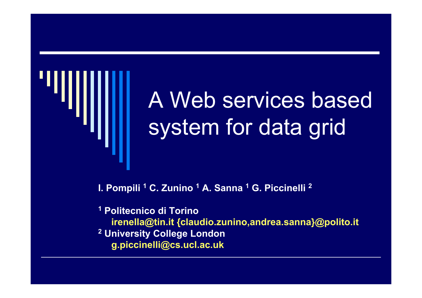

# A Web services based system for data grid

**I. Pompili <sup>1</sup> C. Zunino <sup>1</sup> A. Sanna <sup>1</sup> G. Piccinelli 2**

**1 Politecnico di Torinoirenella@tin.it {claudio.zunino,andrea.sanna}@polito.it 2 University College London g.piccinelli@cs.ucl.ac.uk**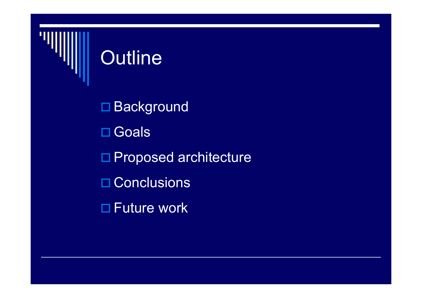

## Outline

□ Background □ Goals □ Proposed architecture **□ Conclusions** Future work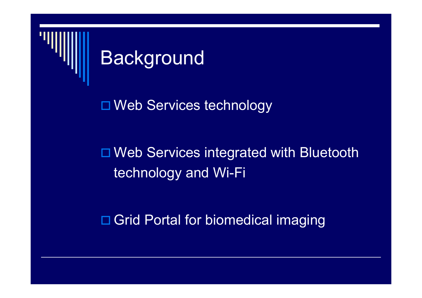

## **Background**

□ Web Services technology

### □ Web Services integrated with Bluetooth technology and Wi-Fi

□ Grid Portal for biomedical imaging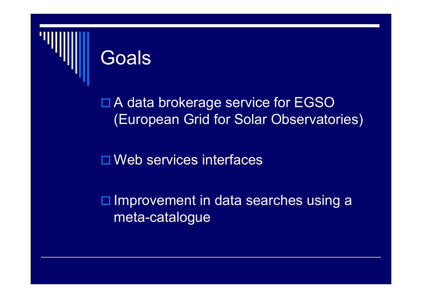

## Goals

#### □ A data brokerage service for EGSO (European Grid for Solar Observatories)

□ Web services interfaces

 $\square$  Improvement in data searches using a meta-catalogue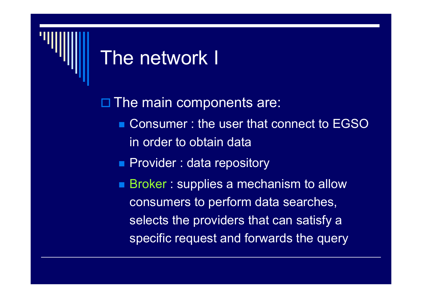

## The network I

□ The main components are:

- Consumer : the user that connect to EGSO in order to obtain data
- **Provider : data repository**
- Broker : supplies a mechanism to allow consumers to perform data searches, selects the providers that can satisfy a specific request and forwards the query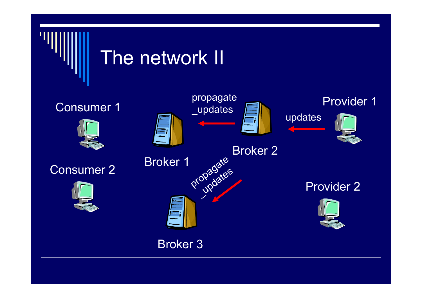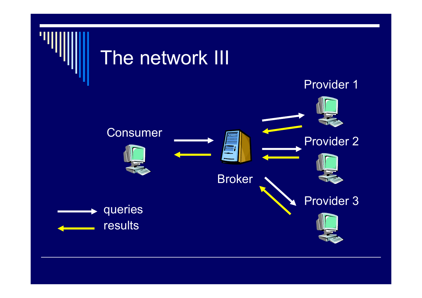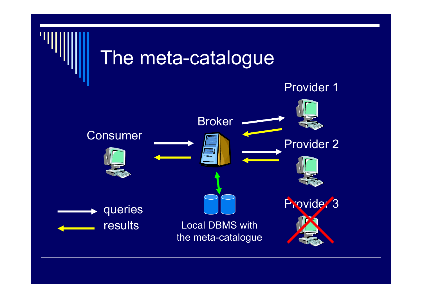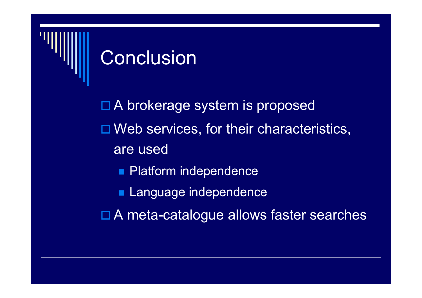

## Conclusion

□ A brokerage system is proposed □ Web services, for their characteristics, are used**Platform independence Language independence** □ A meta-catalogue allows faster searches